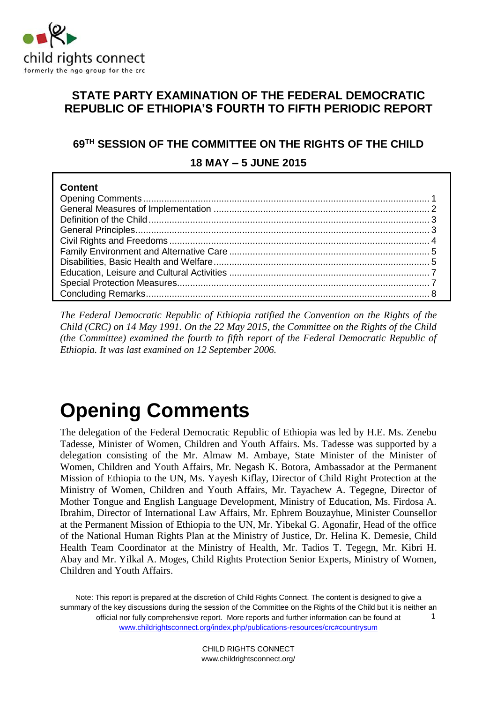

### **STATE PARTY EXAMINATION OF THE FEDERAL DEMOCRATIC REPUBLIC OF ETHIOPIA'S FOURTH TO FIFTH PERIODIC REPORT**

### **69TH SESSION OF THE COMMITTEE ON THE RIGHTS OF THE CHILD**

**18 MAY – 5 JUNE 2015** 

| Content |  |
|---------|--|
|         |  |
|         |  |
|         |  |
|         |  |
|         |  |
|         |  |
|         |  |
|         |  |
|         |  |
|         |  |

*The Federal Democratic Republic of Ethiopia ratified the Convention on the Rights of the Child (CRC) on 14 May 1991. On the 22 May 2015, the Committee on the Rights of the Child (the Committee) examined the fourth to fifth report of the Federal Democratic Republic of Ethiopia. It was last examined on 12 September 2006.*

# <span id="page-0-0"></span>**Opening Comments**

The delegation of the Federal Democratic Republic of Ethiopia was led by H.E. Ms. Zenebu Tadesse, Minister of Women, Children and Youth Affairs. Ms. Tadesse was supported by a delegation consisting of the Mr. Almaw M. Ambaye, State Minister of the Minister of Women, Children and Youth Affairs, Mr. Negash K. Botora, Ambassador at the Permanent Mission of Ethiopia to the UN, Ms. Yayesh Kiflay, Director of Child Right Protection at the Ministry of Women, Children and Youth Affairs, Mr. Tayachew A. Tegegne, Director of Mother Tongue and English Language Development, Ministry of Education, Ms. Firdosa A. Ibrahim, Director of International Law Affairs, Mr. Ephrem Bouzayhue, Minister Counsellor at the Permanent Mission of Ethiopia to the UN, Mr. Yibekal G. Agonafir, Head of the office of the National Human Rights Plan at the Ministry of Justice, Dr. Helina K. Demesie, Child Health Team Coordinator at the Ministry of Health, Mr. Tadios T. Tegegn, Mr. Kibri H. Abay and Mr. Yilkal A. Moges, Child Rights Protection Senior Experts, Ministry of Women, Children and Youth Affairs.

Note: This report is prepared at the discretion of Child Rights Connect. The content is designed to give a summary of the key discussions during the session of the Committee on the Rights of the Child but it is neither an official nor fully comprehensive report. More reports and further information can be found at [www.childrightsconnect.org/index.php/publications-resources/crc#countrysum](http://www.childrightsconnect.org/index.php/publications-resources/crc#countrysum) 1

> CHILD RIGHTS CONNECT www.childrightsconnect.org/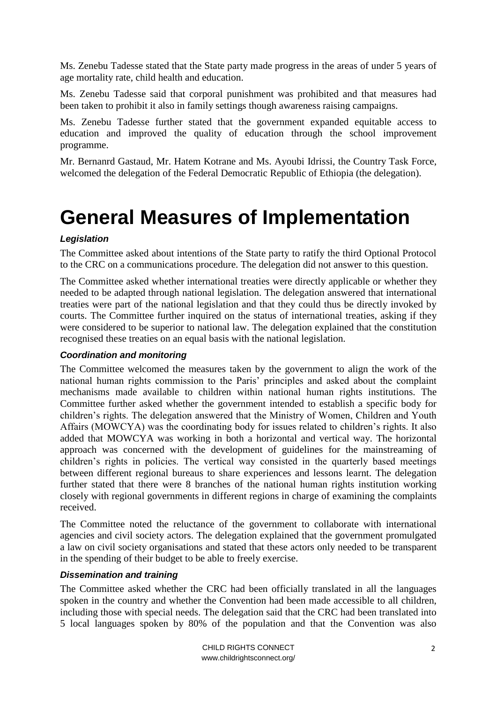Ms. Zenebu Tadesse stated that the State party made progress in the areas of under 5 years of age mortality rate, child health and education.

Ms. Zenebu Tadesse said that corporal punishment was prohibited and that measures had been taken to prohibit it also in family settings though awareness raising campaigns.

Ms. Zenebu Tadesse further stated that the government expanded equitable access to education and improved the quality of education through the school improvement programme.

Mr. Bernanrd Gastaud, Mr. Hatem Kotrane and Ms. Ayoubi Idrissi, the Country Task Force, welcomed the delegation of the Federal Democratic Republic of Ethiopia (the delegation).

### <span id="page-1-0"></span>**General Measures of Implementation**

### *Legislation*

The Committee asked about intentions of the State party to ratify the third Optional Protocol to the CRC on a communications procedure. The delegation did not answer to this question.

The Committee asked whether international treaties were directly applicable or whether they needed to be adapted through national legislation. The delegation answered that international treaties were part of the national legislation and that they could thus be directly invoked by courts. The Committee further inquired on the status of international treaties, asking if they were considered to be superior to national law. The delegation explained that the constitution recognised these treaties on an equal basis with the national legislation.

### *Coordination and monitoring*

The Committee welcomed the measures taken by the government to align the work of the national human rights commission to the Paris' principles and asked about the complaint mechanisms made available to children within national human rights institutions. The Committee further asked whether the government intended to establish a specific body for children's rights. The delegation answered that the Ministry of Women, Children and Youth Affairs (MOWCYA) was the coordinating body for issues related to children's rights. It also added that MOWCYA was working in both a horizontal and vertical way. The horizontal approach was concerned with the development of guidelines for the mainstreaming of children's rights in policies. The vertical way consisted in the quarterly based meetings between different regional bureaus to share experiences and lessons learnt. The delegation further stated that there were 8 branches of the national human rights institution working closely with regional governments in different regions in charge of examining the complaints received.

The Committee noted the reluctance of the government to collaborate with international agencies and civil society actors. The delegation explained that the government promulgated a law on civil society organisations and stated that these actors only needed to be transparent in the spending of their budget to be able to freely exercise.

### *Dissemination and training*

The Committee asked whether the CRC had been officially translated in all the languages spoken in the country and whether the Convention had been made accessible to all children, including those with special needs. The delegation said that the CRC had been translated into 5 local languages spoken by 80% of the population and that the Convention was also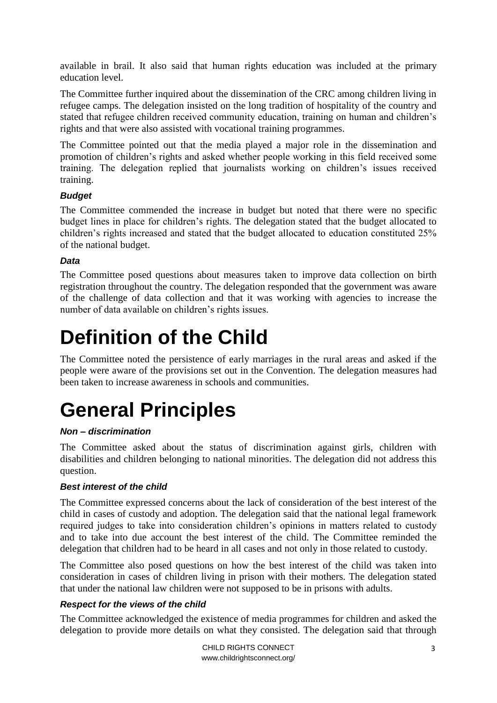available in brail. It also said that human rights education was included at the primary education level.

The Committee further inquired about the dissemination of the CRC among children living in refugee camps. The delegation insisted on the long tradition of hospitality of the country and stated that refugee children received community education, training on human and children's rights and that were also assisted with vocational training programmes.

The Committee pointed out that the media played a major role in the dissemination and promotion of children's rights and asked whether people working in this field received some training. The delegation replied that journalists working on children's issues received training.

### *Budget*

The Committee commended the increase in budget but noted that there were no specific budget lines in place for children's rights. The delegation stated that the budget allocated to children's rights increased and stated that the budget allocated to education constituted 25% of the national budget.

### *Data*

The Committee posed questions about measures taken to improve data collection on birth registration throughout the country. The delegation responded that the government was aware of the challenge of data collection and that it was working with agencies to increase the number of data available on children's rights issues.

### <span id="page-2-0"></span>**Definition of the Child**

The Committee noted the persistence of early marriages in the rural areas and asked if the people were aware of the provisions set out in the Convention. The delegation measures had been taken to increase awareness in schools and communities.

# <span id="page-2-1"></span>**General Principles**

### *Non – discrimination*

The Committee asked about the status of discrimination against girls, children with disabilities and children belonging to national minorities. The delegation did not address this question.

### *Best interest of the child*

The Committee expressed concerns about the lack of consideration of the best interest of the child in cases of custody and adoption. The delegation said that the national legal framework required judges to take into consideration children's opinions in matters related to custody and to take into due account the best interest of the child. The Committee reminded the delegation that children had to be heard in all cases and not only in those related to custody.

The Committee also posed questions on how the best interest of the child was taken into consideration in cases of children living in prison with their mothers. The delegation stated that under the national law children were not supposed to be in prisons with adults.

### *Respect for the views of the child*

The Committee acknowledged the existence of media programmes for children and asked the delegation to provide more details on what they consisted. The delegation said that through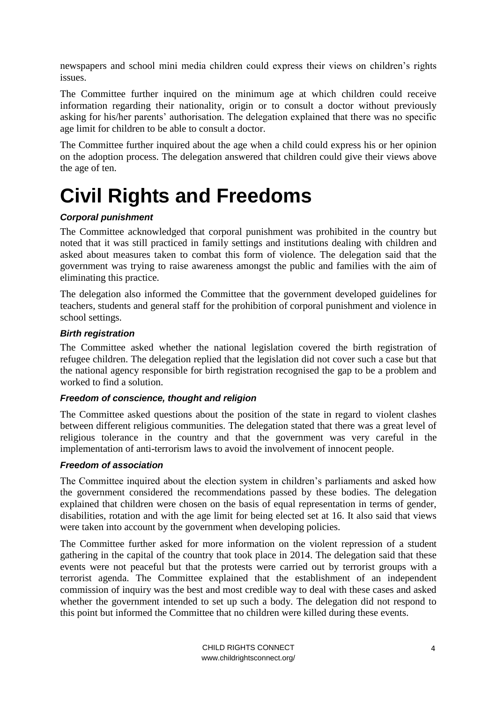newspapers and school mini media children could express their views on children's rights issues.

The Committee further inquired on the minimum age at which children could receive information regarding their nationality, origin or to consult a doctor without previously asking for his/her parents' authorisation. The delegation explained that there was no specific age limit for children to be able to consult a doctor.

The Committee further inquired about the age when a child could express his or her opinion on the adoption process. The delegation answered that children could give their views above the age of ten.

### <span id="page-3-0"></span>**Civil Rights and Freedoms**

### *Corporal punishment*

The Committee acknowledged that corporal punishment was prohibited in the country but noted that it was still practiced in family settings and institutions dealing with children and asked about measures taken to combat this form of violence. The delegation said that the government was trying to raise awareness amongst the public and families with the aim of eliminating this practice.

The delegation also informed the Committee that the government developed guidelines for teachers, students and general staff for the prohibition of corporal punishment and violence in school settings.

### *Birth registration*

The Committee asked whether the national legislation covered the birth registration of refugee children. The delegation replied that the legislation did not cover such a case but that the national agency responsible for birth registration recognised the gap to be a problem and worked to find a solution.

### *Freedom of conscience, thought and religion*

The Committee asked questions about the position of the state in regard to violent clashes between different religious communities. The delegation stated that there was a great level of religious tolerance in the country and that the government was very careful in the implementation of anti-terrorism laws to avoid the involvement of innocent people.

### *Freedom of association*

The Committee inquired about the election system in children's parliaments and asked how the government considered the recommendations passed by these bodies. The delegation explained that children were chosen on the basis of equal representation in terms of gender, disabilities, rotation and with the age limit for being elected set at 16. It also said that views were taken into account by the government when developing policies.

The Committee further asked for more information on the violent repression of a student gathering in the capital of the country that took place in 2014. The delegation said that these events were not peaceful but that the protests were carried out by terrorist groups with a terrorist agenda. The Committee explained that the establishment of an independent commission of inquiry was the best and most credible way to deal with these cases and asked whether the government intended to set up such a body. The delegation did not respond to this point but informed the Committee that no children were killed during these events.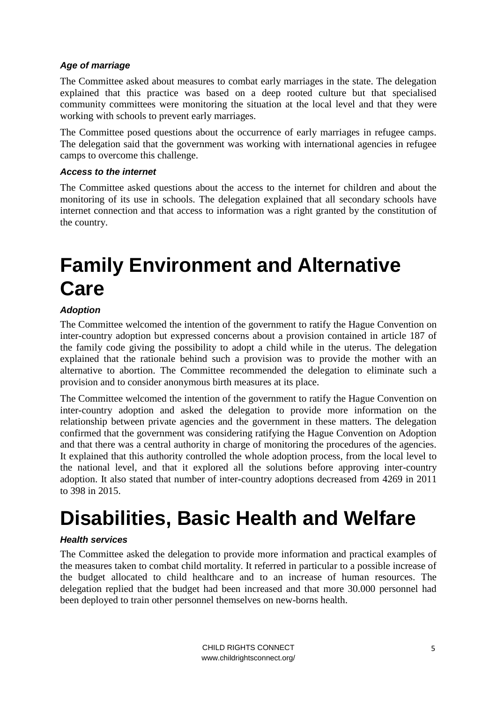### *Age of marriage*

The Committee asked about measures to combat early marriages in the state. The delegation explained that this practice was based on a deep rooted culture but that specialised community committees were monitoring the situation at the local level and that they were working with schools to prevent early marriages.

The Committee posed questions about the occurrence of early marriages in refugee camps. The delegation said that the government was working with international agencies in refugee camps to overcome this challenge.

#### *Access to the internet*

The Committee asked questions about the access to the internet for children and about the monitoring of its use in schools. The delegation explained that all secondary schools have internet connection and that access to information was a right granted by the constitution of the country.

### <span id="page-4-0"></span>**Family Environment and Alternative Care**

### *Adoption*

The Committee welcomed the intention of the government to ratify the Hague Convention on inter-country adoption but expressed concerns about a provision contained in article 187 of the family code giving the possibility to adopt a child while in the uterus. The delegation explained that the rationale behind such a provision was to provide the mother with an alternative to abortion. The Committee recommended the delegation to eliminate such a provision and to consider anonymous birth measures at its place.

The Committee welcomed the intention of the government to ratify the Hague Convention on inter-country adoption and asked the delegation to provide more information on the relationship between private agencies and the government in these matters. The delegation confirmed that the government was considering ratifying the Hague Convention on Adoption and that there was a central authority in charge of monitoring the procedures of the agencies. It explained that this authority controlled the whole adoption process, from the local level to the national level, and that it explored all the solutions before approving inter-country adoption. It also stated that number of inter-country adoptions decreased from 4269 in 2011 to 398 in 2015.

### <span id="page-4-1"></span>**Disabilities, Basic Health and Welfare**

### *Health services*

The Committee asked the delegation to provide more information and practical examples of the measures taken to combat child mortality. It referred in particular to a possible increase of the budget allocated to child healthcare and to an increase of human resources. The delegation replied that the budget had been increased and that more 30.000 personnel had been deployed to train other personnel themselves on new-borns health.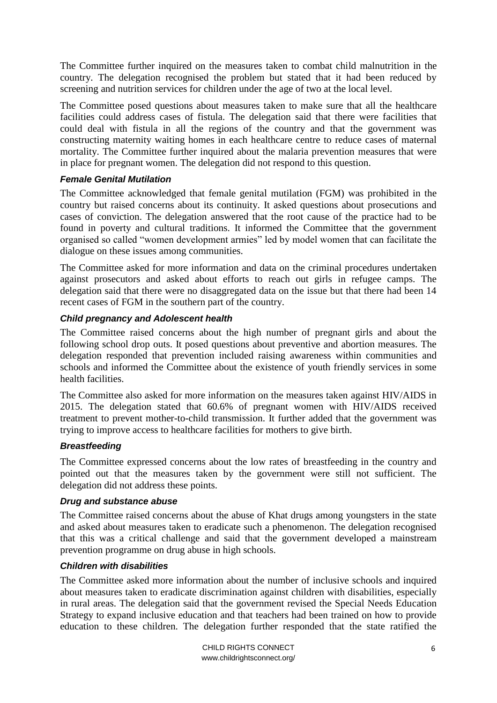The Committee further inquired on the measures taken to combat child malnutrition in the country. The delegation recognised the problem but stated that it had been reduced by screening and nutrition services for children under the age of two at the local level.

The Committee posed questions about measures taken to make sure that all the healthcare facilities could address cases of fistula. The delegation said that there were facilities that could deal with fistula in all the regions of the country and that the government was constructing maternity waiting homes in each healthcare centre to reduce cases of maternal mortality. The Committee further inquired about the malaria prevention measures that were in place for pregnant women. The delegation did not respond to this question.

### *Female Genital Mutilation*

The Committee acknowledged that female genital mutilation (FGM) was prohibited in the country but raised concerns about its continuity. It asked questions about prosecutions and cases of conviction. The delegation answered that the root cause of the practice had to be found in poverty and cultural traditions. It informed the Committee that the government organised so called "women development armies" led by model women that can facilitate the dialogue on these issues among communities.

The Committee asked for more information and data on the criminal procedures undertaken against prosecutors and asked about efforts to reach out girls in refugee camps. The delegation said that there were no disaggregated data on the issue but that there had been 14 recent cases of FGM in the southern part of the country.

#### *Child pregnancy and Adolescent health*

The Committee raised concerns about the high number of pregnant girls and about the following school drop outs. It posed questions about preventive and abortion measures. The delegation responded that prevention included raising awareness within communities and schools and informed the Committee about the existence of youth friendly services in some health facilities.

The Committee also asked for more information on the measures taken against HIV/AIDS in 2015. The delegation stated that 60.6% of pregnant women with HIV/AIDS received treatment to prevent mother-to-child transmission. It further added that the government was trying to improve access to healthcare facilities for mothers to give birth.

#### *Breastfeeding*

The Committee expressed concerns about the low rates of breastfeeding in the country and pointed out that the measures taken by the government were still not sufficient. The delegation did not address these points.

#### *Drug and substance abuse*

The Committee raised concerns about the abuse of Khat drugs among youngsters in the state and asked about measures taken to eradicate such a phenomenon. The delegation recognised that this was a critical challenge and said that the government developed a mainstream prevention programme on drug abuse in high schools.

#### *Children with disabilities*

The Committee asked more information about the number of inclusive schools and inquired about measures taken to eradicate discrimination against children with disabilities, especially in rural areas. The delegation said that the government revised the Special Needs Education Strategy to expand inclusive education and that teachers had been trained on how to provide education to these children. The delegation further responded that the state ratified the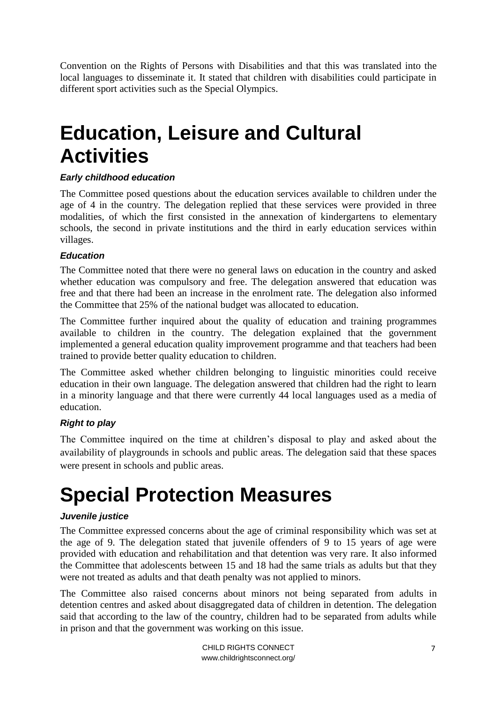Convention on the Rights of Persons with Disabilities and that this was translated into the local languages to disseminate it. It stated that children with disabilities could participate in different sport activities such as the Special Olympics.

### <span id="page-6-0"></span>**Education, Leisure and Cultural Activities**

### *Early childhood education*

The Committee posed questions about the education services available to children under the age of 4 in the country. The delegation replied that these services were provided in three modalities, of which the first consisted in the annexation of kindergartens to elementary schools, the second in private institutions and the third in early education services within villages.

### *Education*

The Committee noted that there were no general laws on education in the country and asked whether education was compulsory and free. The delegation answered that education was free and that there had been an increase in the enrolment rate. The delegation also informed the Committee that 25% of the national budget was allocated to education.

The Committee further inquired about the quality of education and training programmes available to children in the country. The delegation explained that the government implemented a general education quality improvement programme and that teachers had been trained to provide better quality education to children.

The Committee asked whether children belonging to linguistic minorities could receive education in their own language. The delegation answered that children had the right to learn in a minority language and that there were currently 44 local languages used as a media of education.

### *Right to play*

The Committee inquired on the time at children's disposal to play and asked about the availability of playgrounds in schools and public areas. The delegation said that these spaces were present in schools and public areas.

## <span id="page-6-1"></span>**Special Protection Measures**

### *Juvenile justice*

The Committee expressed concerns about the age of criminal responsibility which was set at the age of 9. The delegation stated that juvenile offenders of 9 to 15 years of age were provided with education and rehabilitation and that detention was very rare. It also informed the Committee that adolescents between 15 and 18 had the same trials as adults but that they were not treated as adults and that death penalty was not applied to minors.

The Committee also raised concerns about minors not being separated from adults in detention centres and asked about disaggregated data of children in detention. The delegation said that according to the law of the country, children had to be separated from adults while in prison and that the government was working on this issue.